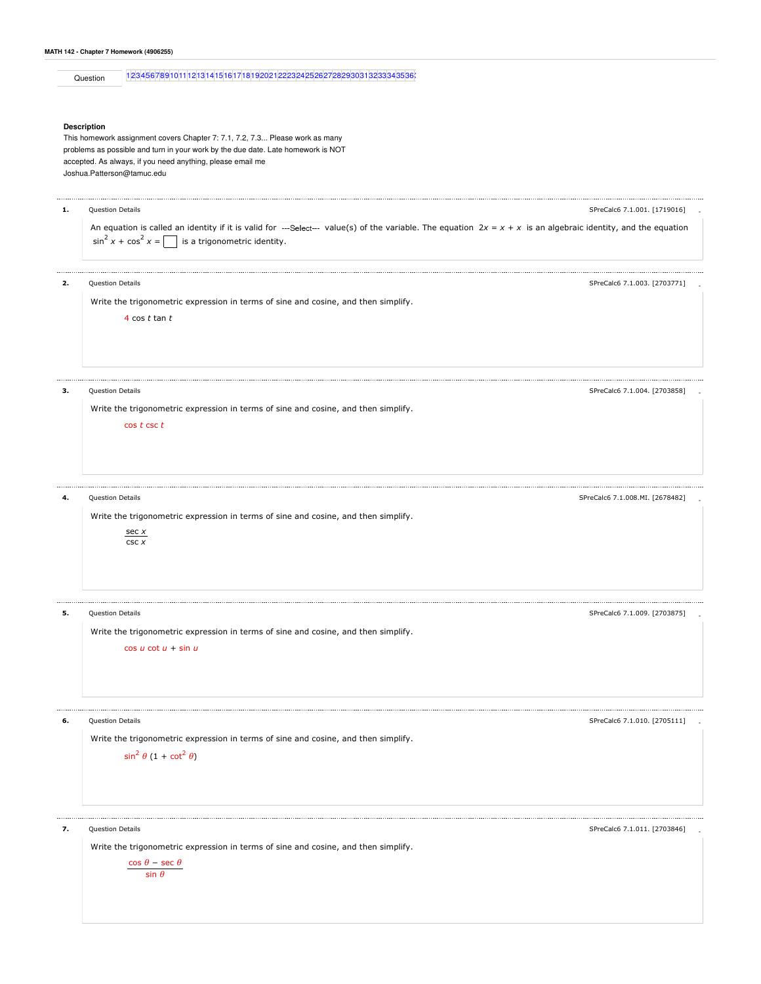| MATH 142 - Chapter 7 Homework (4906255) |  |  |  |
|-----------------------------------------|--|--|--|
|-----------------------------------------|--|--|--|

Question 1234567891011|1213|14|15|16|17|18|19|20|21|2223|24|25|26|27|28|29|30|31|32|33|34|35|36|

## **Description**

This homework assignment covers Chapter 7: 7.1, 7.2, 7.3... Please work as many problems as possible and turn in your work by the due date. Late homework is NOT accepted. As always, if you need anything, please email me Joshua.Patterson@tamuc.edu

| 1. | Question Details                                                                                                                                                                                                            | SPreCalc6 7.1.001. [1719016]    |
|----|-----------------------------------------------------------------------------------------------------------------------------------------------------------------------------------------------------------------------------|---------------------------------|
|    | An equation is called an identity if it is valid for ---Select--- value(s) of the variable. The equation $2x = x + x$ is an algebraic identity, and the equation<br>$\sin^2 x + \cos^2 x =$<br>is a trigonometric identity. |                                 |
| 2. | Question Details                                                                                                                                                                                                            | SPreCalc6 7.1.003. [2703771]    |
|    | Write the trigonometric expression in terms of sine and cosine, and then simplify.<br>4 $\cos t \tan t$                                                                                                                     |                                 |
| з. | Question Details                                                                                                                                                                                                            | SPreCalc6 7.1.004. [2703858]    |
|    | Write the trigonometric expression in terms of sine and cosine, and then simplify.<br>$\cos t \csc t$                                                                                                                       |                                 |
| 4. | Question Details                                                                                                                                                                                                            | SPreCalc6 7.1.008.MI. [2678482] |
|    | Write the trigonometric expression in terms of sine and cosine, and then simplify.                                                                                                                                          |                                 |
|    | sec x<br>CSC X                                                                                                                                                                                                              |                                 |
| 5. | Question Details                                                                                                                                                                                                            | SPreCalc6 7.1.009. [2703875]    |
|    | Write the trigonometric expression in terms of sine and cosine, and then simplify.<br>$\cos u \cot u + \sin u$                                                                                                              |                                 |
| 6. | Question Details                                                                                                                                                                                                            | SPreCalc6 7.1.010. [2705111]    |
|    | Write the trigonometric expression in terms of sine and cosine, and then simplify.<br>$\sin^2 \theta (1 + \cot^2 \theta)$                                                                                                   |                                 |
| 7. | <b>Question Details</b>                                                                                                                                                                                                     | SPreCalc6 7.1.011. [2703846]    |
|    | Write the trigonometric expression in terms of sine and cosine, and then simplify.<br>$\frac{\cos\,\theta - \sec\,\theta}{\sin\,\theta}$                                                                                    |                                 |
|    |                                                                                                                                                                                                                             |                                 |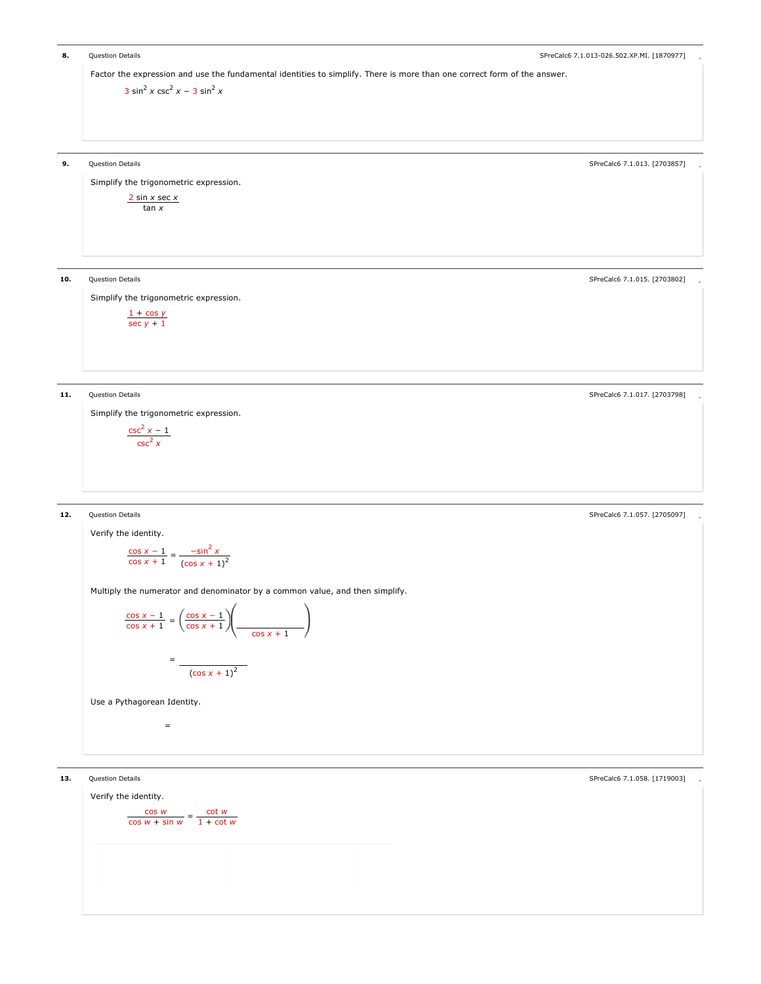**8.** Question Details - Cuestion Details - Cuestion Details - Special Control of the Server of the Special Control of the Special Control of the Special Control of the Special Control of the Special Control of the Special Factor the expression and use the fundamental identities to simplify. There is more than one correct form of the answer.  $3 \sin^2 x \csc^2 x - 3 \sin^2 x$ **9.** Question Details **Containers** and the set of the set of the set of the set of the SPreCalc6 7.1.013. [2703857] Simplify the trigonometric expression.  $\frac{2 \sin x \sec x}{2}$ tan x 10. Question Details **10.** Current and the SPreCalc6 7.1.015. [2703802] Control of the SPreCalc6 7.1.015. [2703802] Simplify the trigonometric expression.  $1 + \cos y$ sec y + 1 11. Question Details **According to the Contract Contract Contract Contract Contract Contract Contract Contract Contract Contract Contract Contract Contract Contract Contract Contract Contract Contract Contract Contract Con** Simplify the trigonometric expression.  $\frac{\csc^2 x - 1}{2}$  $\csc^2 x$ extion Details and the set of the set of the set of the set of the set of the set of the SPreCalc6 7.1.057. [2705097]  $\,$ Verify the identity. Multiply the numerator and denominator by a common value, and then simplify. Use a Pythagorean Identity.  $\frac{\cos x - 1}{x} =$  $\cos x + 1$  $\frac{-\sin^2 x}{(\cos x + 1)^2}$  $\frac{\cos x - 1}{\cos x + 1} =$  =  $\cos x + 1$  $\cos x - 1$  $\frac{\cos x + 1}{\cos x + 1}$  $(\cos x + 1)^2$  = 13. Question Details **1988** Certain Server 2012 of the SPreCalc6 of the SPreCalc6 7.1.058. [1719003] 13. Cuestion Details Verify the identity.  $\frac{\cos w}{\sin w}$  = cos w + sin w cot w  $1 + \cot w$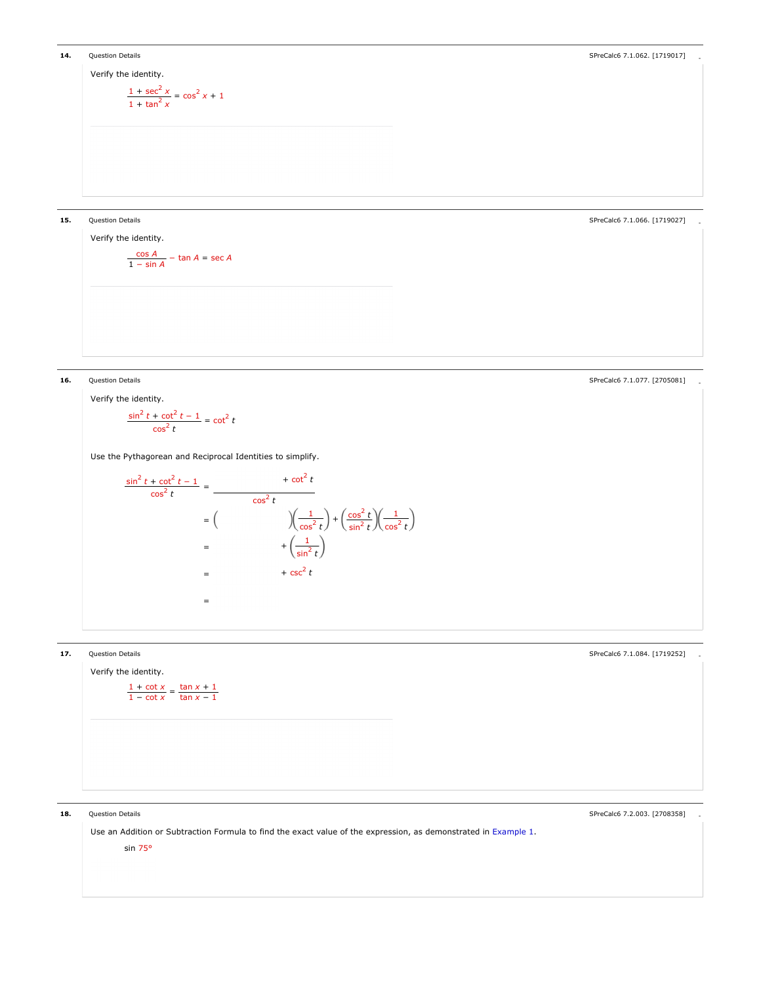

Verify the identity.  $\frac{\cos A}{\sin A}$  – tan A = sec A 1 − sin A

15. Question Details - SPreCalc6 7.1.066. [1719027]

ermic Details and Controller and Controller and Controller and Controller and Controller and Controller and Controller and Controller and Controller and Controller and Controller and Controller and Controller and Controlle

Verify the identity.  $\frac{\sin^2 t + \cot^2 t - 1}{2} = \cot^2 t$  $\cos^2 t$ 

Use the Pythagorean and Reciprocal Identities to simplify.

$$
\frac{\sin^2 t + \cot^2 t - 1}{\cos^2 t} = \frac{\sec^2 t}{\cos^2 t}
$$
  
=  $\left(\frac{\sqrt{\frac{1}{\cos^2 t}}}{\sin^2 t}\right) + \left(\frac{\cos^2 t}{\sin^2 t}\right)\left(\frac{1}{\cos^2 t}\right)$   
=  $\left(\frac{\frac{1}{\sin^2 t}}{\sin^2 t}\right)$   
=  $\left(\frac{1}{\sin^2 t}\right)$   
=  $\left(\frac{1}{\sin^2 t}\right)$ 



18. Question Details **18. Automobility of the Calco Control** of the SPreCalco 7.2.003. [2708358] 3. SPreCalc6 7.2.003. [2708358]

Use an Addition or Subtraction Formula to find the exact value of the expression, as demonstrated in Example 1. sin 75°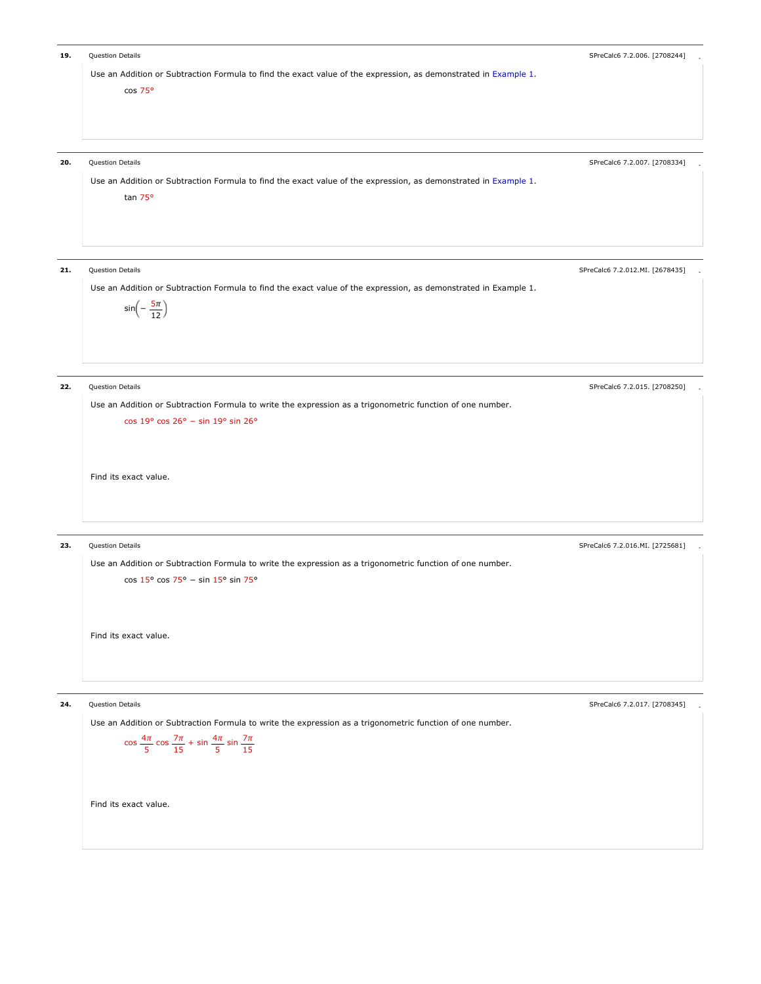| 19. | Question Details<br>Use an Addition or Subtraction Formula to find the exact value of the expression, as demonstrated in Example 1.<br>cos 75°                                                                                                  | SPreCalc6 7.2.006. [2708244]    |
|-----|-------------------------------------------------------------------------------------------------------------------------------------------------------------------------------------------------------------------------------------------------|---------------------------------|
| 20. | Question Details<br>Use an Addition or Subtraction Formula to find the exact value of the expression, as demonstrated in Example 1.<br>tan 75°                                                                                                  | SPreCalc6 7.2.007. [2708334]    |
| 21. | Question Details<br>Use an Addition or Subtraction Formula to find the exact value of the expression, as demonstrated in Example 1.<br>$sin(-\frac{5\pi}{12})$                                                                                  | SPreCalc6 7.2.012.MI. [2678435] |
| 22. | Question Details<br>Use an Addition or Subtraction Formula to write the expression as a trigonometric function of one number.<br>cos 19° cos 26° - sin 19° sin 26°<br>Find its exact value.                                                     | SPreCalc6 7.2.015. [2708250]    |
| 23. | Question Details<br>Use an Addition or Subtraction Formula to write the expression as a trigonometric function of one number.<br>$\cos 15^{\circ} \cos 75^{\circ} - \sin 15^{\circ} \sin 75^{\circ}$<br>Find its exact value.                   | SPreCalc6 7.2.016.MI. [2725681] |
| 24. | Question Details<br>Use an Addition or Subtraction Formula to write the expression as a trigonometric function of one number.<br>$\cos \frac{4\pi}{5} \cos \frac{7\pi}{15} + \sin \frac{4\pi}{5} \sin \frac{7\pi}{15}$<br>Find its exact value. | SPreCalc6 7.2.017. [2708345]    |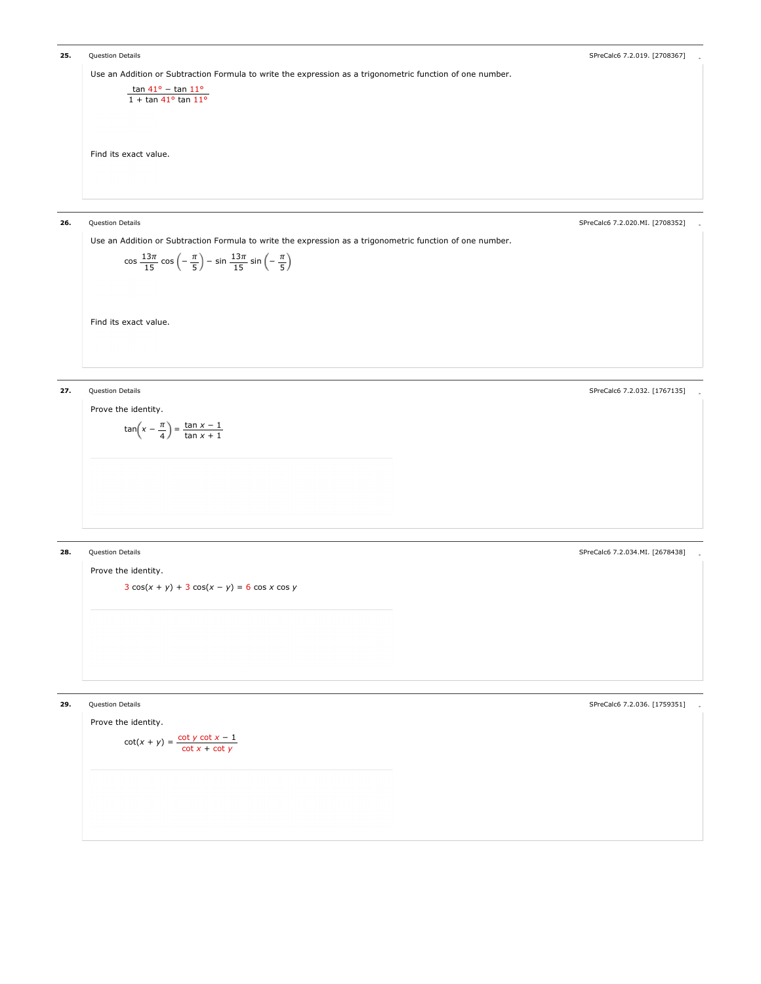```
ermic Details - Christian Details - SPreCalc6 7.2.019. [2708367] . SPreCalc6 7.2.019. [2708367] . [2708367] . [2708367] . [2708367] . [2708367] . [2708367] . [2708367] . [2708367] . [2708367] . [2708367] . [2708367] . [270
      Use an Addition or Subtraction Formula to write the expression as a trigonometric function of one number.
      Find its exact value.

tan 41° − tan 11°
                1 + tan 41° tan 11°
26. Question Details -
SPreCalc6 7.2.020.MI. [2708352]
      Use an Addition or Subtraction Formula to write the expression as a trigonometric function of one number.
      Find its exact value.
               \cos \frac{13\pi}{15} \cos \left( -\frac{\pi}{5} \right) - \sin \frac{13\pi}{15} \sin \left( -\frac{\pi}{5} \right)π
                               5
                                        13\pi15
                                                   π
                                                   5
27. Question Details Accord 20.032. [1767135] 2012 12:032. [1767135] 27. Question Details 4.2.032. [1767135]
      Prove the identity.
               tan(x - \frac{\pi}{2}) =4
                             tan x − 1
                             tan x + 1
ermic Details - SpreCalc6 7.2.034.MI. [2678438] . SpreCalc6 7.2.034.MI. [2678438] . SpreCalc6 7.2.034.MI. [2678438]
      Prove the identity.
              3 \cos(x + y) + 3 \cos(x - y) = 6 \cos x \cos yermic and the United States of the SPreCalc6 7.2.036. [1759351] . SPreCalc6 7.2.036. [1759351] . SPRECalc6 7.2.036. [1759351]
```
Prove the identity.  $\cot(x+y) = \frac{\cot y \cot x - 1}{\cot x + \cot y}$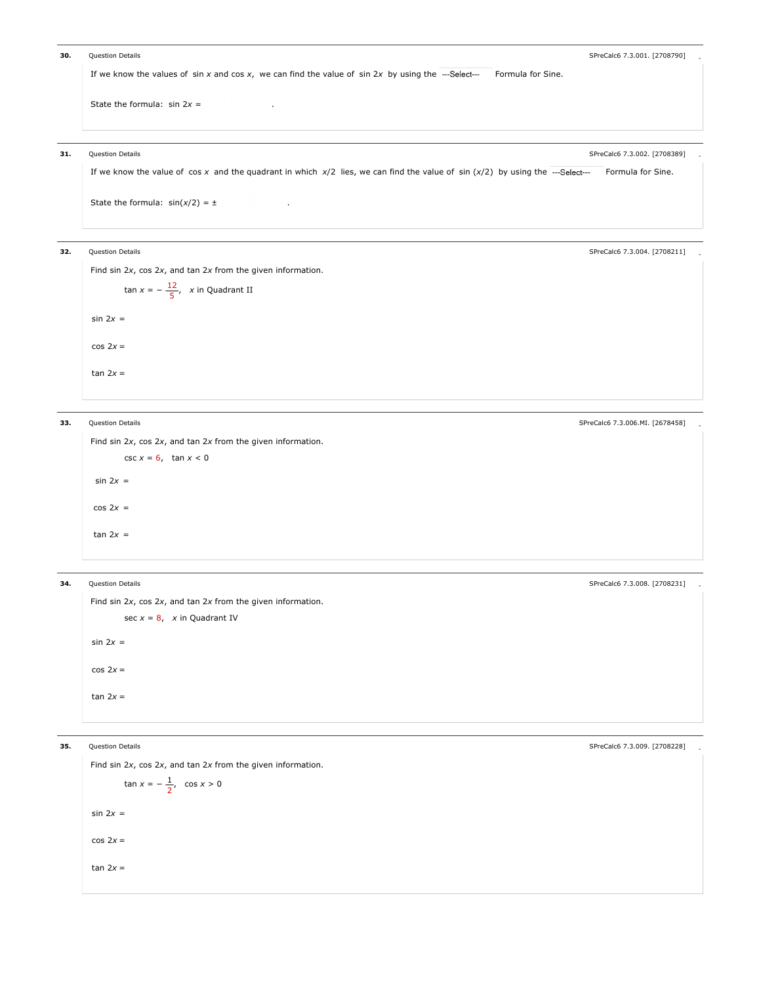```
30. Question Details Containers and the set of the set of the set of the set of the SPreCalc6 7.3.001. [2708790]
      If we know the values of sin x and cos x, we can find the value of sin 2x by using the --Select--- Formula for Sine.
      State the formula: sin 2x =
```
## 31. Question Details - SPreCalc6 7.3.002. [2708389]

If we know the value of cos x and the quadrant in which  $x/2$  lies, we can find the value of sin  $(x/2)$  by using the ---Select--- Formula for Sine.

State the formula:  $sin(x/2) = \pm$  .

32. Question Details - SPreCalc6 7.3.004. [2708211]

Find sin 2x, cos 2x, and tan 2x from the given information.



Find sin 2x, cos 2x, and tan 2x from the given information. csc  $x = 6$ , tan  $x < 0$  $sin 2x =$  $\cos 2x =$ tan  $2x =$ 

Find sin 2x, cos 2x, and tan 2x from the given information.  $sin 2x =$  $cos 2x =$ tan  $2x =$ sec  $x = 8$ , x in Quadrant IV

Find sin 2x, cos 2x, and tan 2x from the given information.  $sin 2x =$  $cos 2x =$  $tan x = -\frac{1}{2}, \cos x > 0$ 

 $tan 2x =$ 

33. Question Details - SPreCalc6 7.3.006.MI. [2678458]

34. Question Details - SPreCalc6 7.3.008. [2708231]

35. Question Details - SPreCalc6 7.3.009. [2708228]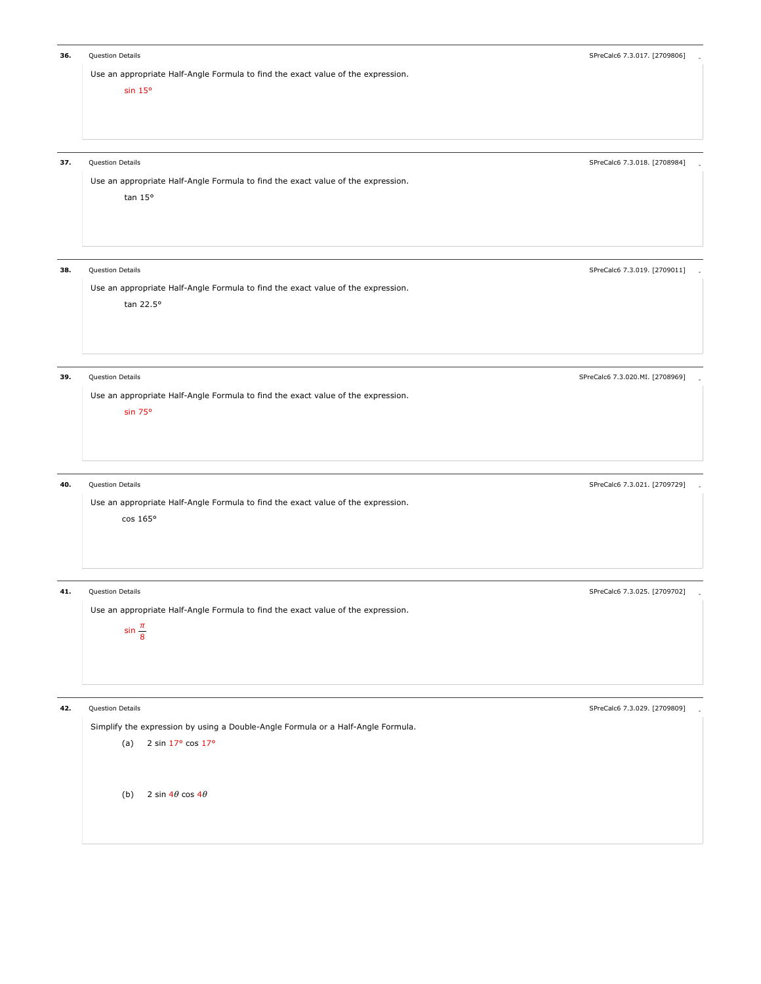special of the control of the control of the control of the control of the control of the control of the control of the control of the control of the control of the control of the control of the control of the control of t Use an appropriate Half-Angle Formula to find the exact value of the expression. sin 15° 37. Question Details - SPreCalc6 7.3.018. [2708984] Use an appropriate Half-Angle Formula to find the exact value of the expression. tan 15° s Cuestion Details Contract Contract Contract Contract Contract Contract Contract Contract Contract Contract Contract Contract Contract Contract Contract Contract Contract Contract Contract Contract Contract Contract Contr Use an appropriate Half-Angle Formula to find the exact value of the expression. tan 22.5° 39. Question Details - SPreCalc6 7.3.020.MI. [2708969] Use an appropriate Half-Angle Formula to find the exact value of the expression. sin 75° ermic Details - Current Control of the SPreCalc6 7.3.021. [2709729] . SPreCalc6 7.3.021. [2709729] . SPRECalc6 7.3.021. [2709729] Use an appropriate Half-Angle Formula to find the exact value of the expression. cos 165° ermic Details - Cuestion Details - SPreCalc6 7.3.025. [2709702] . SPreCalc6 7.3.025. [2709702] . SPRECalc6 7.3.025. [2709702] Use an appropriate Half-Angle Formula to find the exact value of the expression.  $\sin \frac{\pi}{8}$ ermic Details - Cuestion Details - SPreCalc6 7.3.029. [2709809] . SPreCalc6 7.3.029. [2709809] . SPRECalc6 7.3.029. [2709809] Simplify the expression by using a Double-Angle Formula or a Half-Angle Formula. (a) 2 sin 17° cos 17° (b)  $2 \sin 4\theta \cos 4\theta$